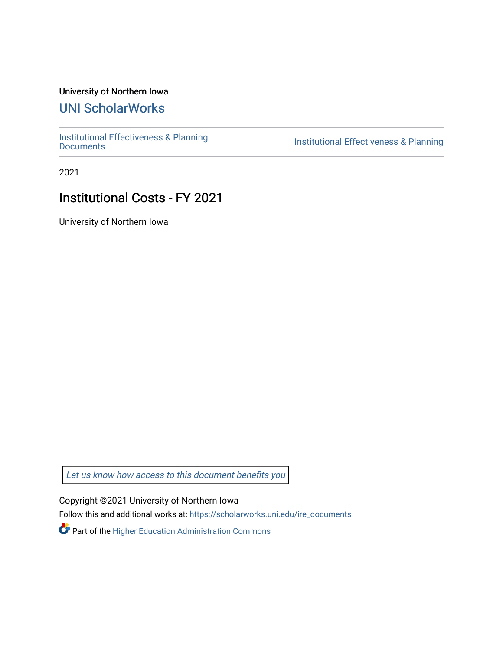## University of Northern Iowa

## [UNI ScholarWorks](https://scholarworks.uni.edu/)

[Institutional Effectiveness & Planning](https://scholarworks.uni.edu/ire_documents)

Institutional Effectiveness & Planning

2021

## Institutional Costs - FY 2021

University of Northern Iowa

[Let us know how access to this document benefits you](https://scholarworks.uni.edu/feedback_form.html) 

Copyright ©2021 University of Northern Iowa

Follow this and additional works at: [https://scholarworks.uni.edu/ire\\_documents](https://scholarworks.uni.edu/ire_documents?utm_source=scholarworks.uni.edu%2Fire_documents%2F245&utm_medium=PDF&utm_campaign=PDFCoverPages) 

Part of the [Higher Education Administration Commons](http://network.bepress.com/hgg/discipline/791?utm_source=scholarworks.uni.edu%2Fire_documents%2F245&utm_medium=PDF&utm_campaign=PDFCoverPages)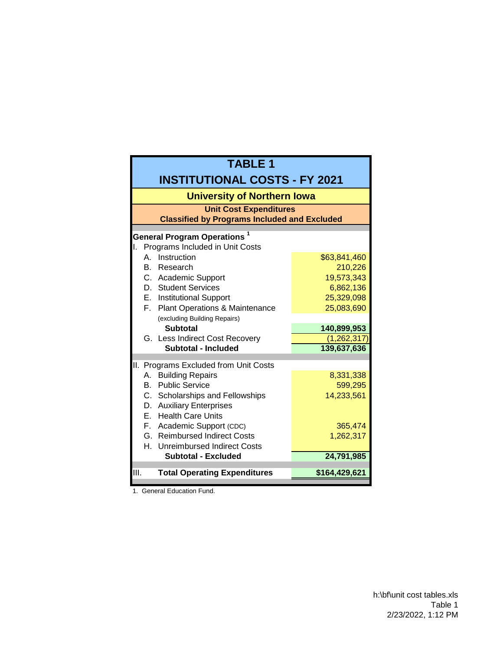| <b>TABLE 1</b>                                                                                                             |               |  |  |  |  |  |
|----------------------------------------------------------------------------------------------------------------------------|---------------|--|--|--|--|--|
| <b>INSTITUTIONAL COSTS - FY 2021</b>                                                                                       |               |  |  |  |  |  |
| <b>University of Northern Iowa</b><br><b>Unit Cost Expenditures</b><br><b>Classified by Programs Included and Excluded</b> |               |  |  |  |  |  |
|                                                                                                                            |               |  |  |  |  |  |
| Programs Included in Unit Costs<br>ΙΙ.                                                                                     |               |  |  |  |  |  |
| Instruction<br>А.                                                                                                          | \$63,841,460  |  |  |  |  |  |
| B. Research                                                                                                                | 210,226       |  |  |  |  |  |
| C. Academic Support                                                                                                        | 19,573,343    |  |  |  |  |  |
| D. Student Services                                                                                                        | 6,862,136     |  |  |  |  |  |
| E. Institutional Support                                                                                                   | 25,329,098    |  |  |  |  |  |
| F. Plant Operations & Maintenance                                                                                          | 25,083,690    |  |  |  |  |  |
| (excluding Building Repairs)                                                                                               |               |  |  |  |  |  |
| <b>Subtotal</b>                                                                                                            | 140,899,953   |  |  |  |  |  |
| G. Less Indirect Cost Recovery                                                                                             | (1, 262, 317) |  |  |  |  |  |
| Subtotal - Included                                                                                                        | 139,637,636   |  |  |  |  |  |
| II.<br>Programs Excluded from Unit Costs                                                                                   |               |  |  |  |  |  |
| <b>Building Repairs</b><br>А.                                                                                              | 8,331,338     |  |  |  |  |  |
| <b>B.</b> Public Service                                                                                                   | 599,295       |  |  |  |  |  |
| C. Scholarships and Fellowships                                                                                            | 14,233,561    |  |  |  |  |  |
| D. Auxiliary Enterprises                                                                                                   |               |  |  |  |  |  |
| E. Health Care Units                                                                                                       |               |  |  |  |  |  |
| F. Academic Support (CDC)                                                                                                  | 365,474       |  |  |  |  |  |
| G. Reimbursed Indirect Costs                                                                                               | 1,262,317     |  |  |  |  |  |
| H. Unreimbursed Indirect Costs                                                                                             |               |  |  |  |  |  |
| <b>Subtotal - Excluded</b>                                                                                                 | 24,791,985    |  |  |  |  |  |
| III.<br><b>Total Operating Expenditures</b>                                                                                | \$164,429,621 |  |  |  |  |  |
|                                                                                                                            |               |  |  |  |  |  |

1. General Education Fund.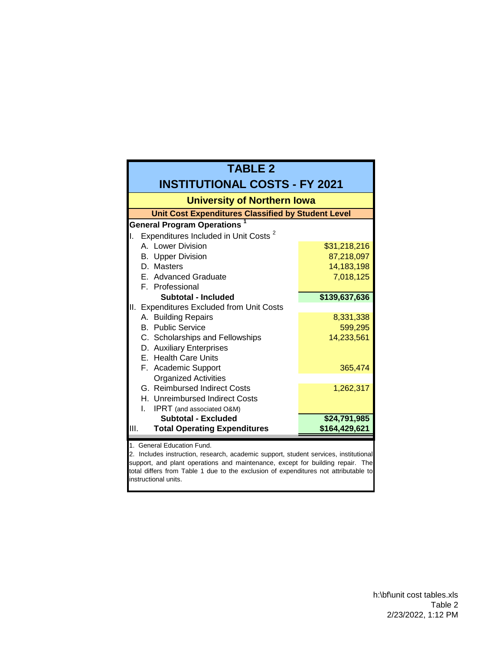| <b>TABLE 2</b>                                                                                                                                                                                                                                                                                                      |               |  |  |  |  |  |  |  |
|---------------------------------------------------------------------------------------------------------------------------------------------------------------------------------------------------------------------------------------------------------------------------------------------------------------------|---------------|--|--|--|--|--|--|--|
| <b>INSTITUTIONAL COSTS - FY 2021</b>                                                                                                                                                                                                                                                                                |               |  |  |  |  |  |  |  |
| <b>University of Northern Iowa</b>                                                                                                                                                                                                                                                                                  |               |  |  |  |  |  |  |  |
| <b>Unit Cost Expenditures Classified by Student Level</b>                                                                                                                                                                                                                                                           |               |  |  |  |  |  |  |  |
| <b>General Program Operations</b>                                                                                                                                                                                                                                                                                   |               |  |  |  |  |  |  |  |
| Expenditures Included in Unit Costs <sup>2</sup><br>Ι.                                                                                                                                                                                                                                                              |               |  |  |  |  |  |  |  |
| A. Lower Division                                                                                                                                                                                                                                                                                                   | \$31,218,216  |  |  |  |  |  |  |  |
| <b>B.</b> Upper Division                                                                                                                                                                                                                                                                                            | 87,218,097    |  |  |  |  |  |  |  |
| D. Masters                                                                                                                                                                                                                                                                                                          | 14,183,198    |  |  |  |  |  |  |  |
| E. Advanced Graduate                                                                                                                                                                                                                                                                                                | 7,018,125     |  |  |  |  |  |  |  |
| F. Professional                                                                                                                                                                                                                                                                                                     |               |  |  |  |  |  |  |  |
| Subtotal - Included                                                                                                                                                                                                                                                                                                 | \$139,637,636 |  |  |  |  |  |  |  |
| II. Expenditures Excluded from Unit Costs                                                                                                                                                                                                                                                                           |               |  |  |  |  |  |  |  |
| A. Building Repairs                                                                                                                                                                                                                                                                                                 | 8,331,338     |  |  |  |  |  |  |  |
| <b>B.</b> Public Service                                                                                                                                                                                                                                                                                            | 599,295       |  |  |  |  |  |  |  |
| C. Scholarships and Fellowships                                                                                                                                                                                                                                                                                     | 14,233,561    |  |  |  |  |  |  |  |
| D. Auxiliary Enterprises                                                                                                                                                                                                                                                                                            |               |  |  |  |  |  |  |  |
| E. Health Care Units                                                                                                                                                                                                                                                                                                |               |  |  |  |  |  |  |  |
| F. Academic Support                                                                                                                                                                                                                                                                                                 | 365,474       |  |  |  |  |  |  |  |
| <b>Organized Activities</b>                                                                                                                                                                                                                                                                                         |               |  |  |  |  |  |  |  |
| G. Reimbursed Indirect Costs                                                                                                                                                                                                                                                                                        | 1,262,317     |  |  |  |  |  |  |  |
| H. Unreimbursed Indirect Costs                                                                                                                                                                                                                                                                                      |               |  |  |  |  |  |  |  |
| L<br>IPRT (and associated O&M)                                                                                                                                                                                                                                                                                      |               |  |  |  |  |  |  |  |
| <b>Subtotal - Excluded</b>                                                                                                                                                                                                                                                                                          | \$24,791,985  |  |  |  |  |  |  |  |
| III.<br><b>Total Operating Expenditures</b>                                                                                                                                                                                                                                                                         | \$164,429,621 |  |  |  |  |  |  |  |
| 1. General Education Fund.<br>2. Includes instruction, research, academic support, student services, institutional<br>support, and plant operations and maintenance, except for building repair. The<br>total differs from Table 1 due to the exclusion of expenditures not attributable to<br>instructional units. |               |  |  |  |  |  |  |  |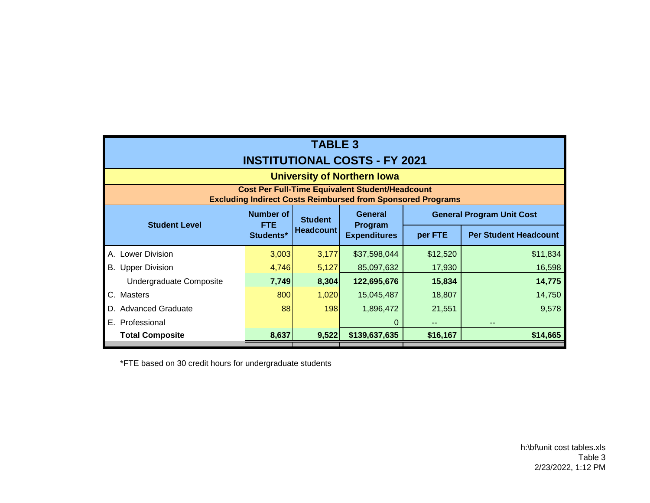| <b>TABLE 3</b><br><b>INSTITUTIONAL COSTS - FY 2021</b>                                                                       |                                             |                  |                                           |                                  |                              |  |  |  |
|------------------------------------------------------------------------------------------------------------------------------|---------------------------------------------|------------------|-------------------------------------------|----------------------------------|------------------------------|--|--|--|
| <b>University of Northern Iowa</b>                                                                                           |                                             |                  |                                           |                                  |                              |  |  |  |
| <b>Cost Per Full-Time Equivalent Student/Headcount</b><br><b>Excluding Indirect Costs Reimbursed from Sponsored Programs</b> |                                             |                  |                                           |                                  |                              |  |  |  |
|                                                                                                                              | <b>Number of</b><br><b>FTE</b><br>Students* | <b>Student</b>   | General<br>Program<br><b>Expenditures</b> | <b>General Program Unit Cost</b> |                              |  |  |  |
| <b>Student Level</b>                                                                                                         |                                             | <b>Headcount</b> |                                           | per FTE                          | <b>Per Student Headcount</b> |  |  |  |
| A. Lower Division                                                                                                            | 3,003                                       | 3,177            | \$37,598,044                              | \$12,520                         | \$11,834                     |  |  |  |
| <b>Upper Division</b><br>В.                                                                                                  | 4,746                                       | 5,127            | 85,097,632                                | 17,930                           | 16,598                       |  |  |  |
| Undergraduate Composite                                                                                                      | 7,749                                       | 8,304            | 122,695,676                               | 15,834                           | 14,775                       |  |  |  |
| C. Masters                                                                                                                   | 800                                         | 1,020            | 15,045,487                                | 18,807                           | 14,750                       |  |  |  |
| <b>Advanced Graduate</b><br>D.                                                                                               | 88                                          | 198              | 1,896,472                                 | 21,551                           | 9,578                        |  |  |  |
| E. Professional                                                                                                              |                                             |                  | 0                                         | --                               | $- -$                        |  |  |  |
| <b>Total Composite</b>                                                                                                       | 8,637                                       | 9,522            | \$139,637,635                             | \$16,167                         | \$14,665                     |  |  |  |

\*FTE based on 30 credit hours for undergraduate students